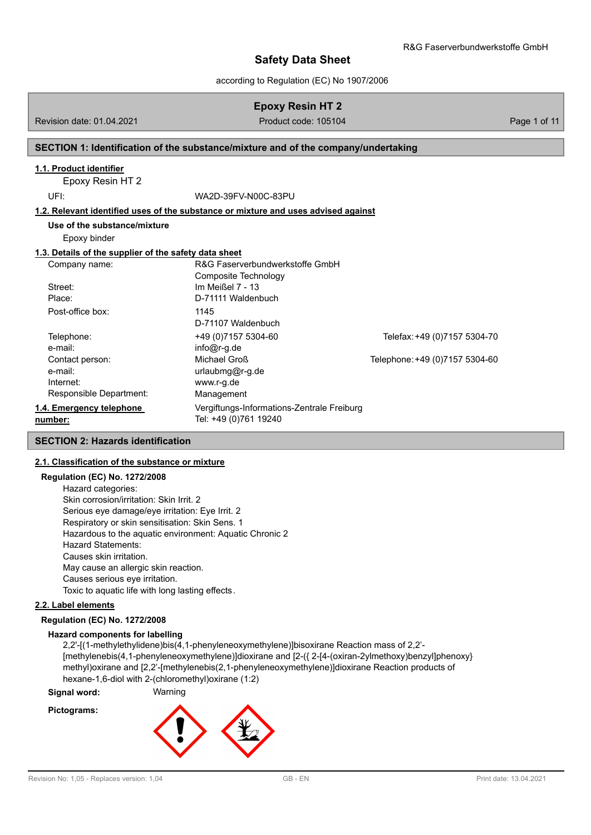according to Regulation (EC) No 1907/2006

# **Epoxy Resin HT 2**

Revision date: 01.04.2021 **Product code: 105104** Page 1 of 11

# **SECTION 1: Identification of the substance/mixture and of the company/undertaking**

#### **1.1. Product identifier**

Epoxy Resin HT 2

UFI: WA2D-39FV-N00C-83PU

#### **1.2. Relevant identified uses of the substance or mixture and uses advised against**

**Use of the substance/mixture**

# Epoxy binder

#### **1.3. Details of the supplier of the safety data sheet**

| Company name:            | R&G Faserverbundwerkstoffe GmbH            |                                |
|--------------------------|--------------------------------------------|--------------------------------|
|                          | Composite Technology                       |                                |
| Street:                  | Im Meißel 7 - 13                           |                                |
| Place:                   | D-71111 Waldenbuch                         |                                |
| Post-office box:         | 1145                                       |                                |
|                          | D-71107 Waldenbuch                         |                                |
| Telephone:               | +49 (0) 7157 5304-60                       | Telefax: +49 (0)7157 5304-70   |
| e-mail:                  | $info@r-q.de$                              |                                |
| Contact person:          | Michael Groß                               | Telephone: +49 (0)7157 5304-60 |
| e-mail:                  | $urlaubmq@r-q.de$                          |                                |
| Internet:                | www.r-g.de                                 |                                |
| Responsible Department:  | Management                                 |                                |
| 1.4. Emergency telephone | Vergiftungs-Informations-Zentrale Freiburg |                                |
| number:                  | Tel: +49 (0)761 19240                      |                                |

#### **SECTION 2: Hazards identification**

# **2.1. Classification of the substance or mixture**

# **Regulation (EC) No. 1272/2008**

Hazard categories: Skin corrosion/irritation: Skin Irrit. 2 Serious eye damage/eye irritation: Eye Irrit. 2 Respiratory or skin sensitisation: Skin Sens. 1 Hazardous to the aquatic environment: Aquatic Chronic 2 Hazard Statements: Causes skin irritation. May cause an allergic skin reaction. Causes serious eye irritation. Toxic to aquatic life with long lasting effects.

# **2.2. Label elements**

### **Regulation (EC) No. 1272/2008**

#### **Hazard components for labelling**

2,2'-[(1-methylethylidene)bis(4,1-phenyleneoxymethylene)]bisoxirane Reaction mass of 2,2'- [methylenebis(4,1-phenyleneoxymethylene)]dioxirane and [2-({ 2-[4-(oxiran-2ylmethoxy)benzyl]phenoxy} methyl)oxirane and [2,2'-[methylenebis(2,1-phenyleneoxymethylene)]dioxirane Reaction products of hexane-1,6-diol with 2-(chloromethyl)oxirane (1:2)

**Signal word:** Warning

# **Pictograms:**

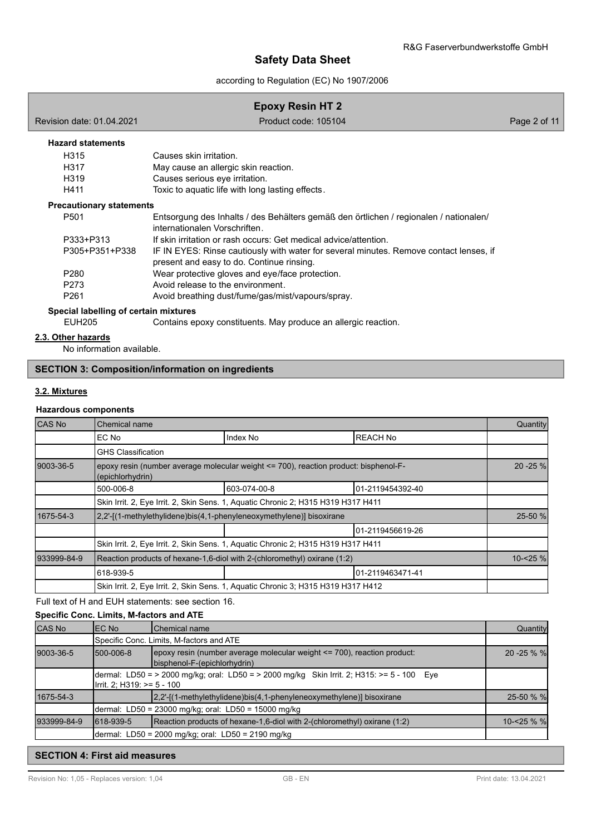according to Regulation (EC) No 1907/2006

# **Epoxy Resin HT 2**

Revision date: 01.04.2021 **Product code: 105104** Page 2 of 11

# **Hazard statements**

| H315 | Causes skin irritation.                          |
|------|--------------------------------------------------|
| H317 | May cause an allergic skin reaction.             |
| H319 | Causes serious eye irritation.                   |
| H411 | Toxic to aquatic life with long lasting effects. |

#### **Precautionary statements**

| P <sub>501</sub> | Entsorgung des Inhalts / des Behälters gemäß den örtlichen / regionalen / nationalen/<br>internationalen Vorschriften.              |
|------------------|-------------------------------------------------------------------------------------------------------------------------------------|
| P333+P313        | If skin irritation or rash occurs: Get medical advice/attention.                                                                    |
| P305+P351+P338   | IF IN EYES: Rinse cautiously with water for several minutes. Remove contact lenses, if<br>present and easy to do. Continue rinsing. |
| P <sub>280</sub> | Wear protective gloves and eye/face protection.                                                                                     |
| P273             | Avoid release to the environment.                                                                                                   |
| P <sub>261</sub> | Avoid breathing dust/fume/gas/mist/vapours/spray.                                                                                   |

**Special labelling of certain mixtures**

EUH205 Contains epoxy constituents. May produce an allergic reaction.

# **2.3. Other hazards**

No information available.

# **SECTION 3: Composition/information on ingredients**

# **3.2. Mixtures**

#### **Hazardous components**

| CAS No      | Chemical name                                                                                            |                                                                                   |                   |         |  |  |  |
|-------------|----------------------------------------------------------------------------------------------------------|-----------------------------------------------------------------------------------|-------------------|---------|--|--|--|
|             | EC No                                                                                                    | Index No                                                                          | <b>REACH No</b>   |         |  |  |  |
|             | <b>GHS Classification</b>                                                                                |                                                                                   |                   |         |  |  |  |
| 9003-36-5   | epoxy resin (number average molecular weight <= 700), reaction product: bisphenol-F-<br>(epichlorhydrin) |                                                                                   |                   |         |  |  |  |
|             | 500-006-8                                                                                                | 603-074-00-8                                                                      | 01-2119454392-40  |         |  |  |  |
|             |                                                                                                          | Skin Irrit. 2, Eye Irrit. 2, Skin Sens. 1, Aquatic Chronic 2; H315 H319 H317 H411 |                   |         |  |  |  |
| 1675-54-3   | [2,2'-[(1-methylethylidene)bis(4,1-phenyleneoxymethylene)] bisoxirane                                    |                                                                                   |                   | 25-50 % |  |  |  |
|             |                                                                                                          |                                                                                   | 01-2119456619-26  |         |  |  |  |
|             | Skin Irrit. 2, Eye Irrit. 2, Skin Sens. 1, Aquatic Chronic 2; H315 H319 H317 H411                        |                                                                                   |                   |         |  |  |  |
| 933999-84-9 | Reaction products of hexane-1,6-diol with 2-(chloromethyl) oxirane (1:2)                                 |                                                                                   |                   |         |  |  |  |
|             | 618-939-5                                                                                                |                                                                                   | 101-2119463471-41 |         |  |  |  |
|             | Skin Irrit. 2, Eye Irrit. 2, Skin Sens. 1, Aquatic Chronic 3; H315 H319 H317 H412                        |                                                                                   |                   |         |  |  |  |

Full text of H and EUH statements: see section 16.

# **Specific Conc. Limits, M-factors and ATE**

| <b>CAS No</b> | IEC No                                                                                                                   | <b>I</b> Chemical name                                                                                         | Quantity       |  |
|---------------|--------------------------------------------------------------------------------------------------------------------------|----------------------------------------------------------------------------------------------------------------|----------------|--|
|               |                                                                                                                          | Specific Conc. Limits, M-factors and ATE                                                                       |                |  |
| 9003-36-5     | 1500-006-8                                                                                                               | $ epoxy$ resin (number average molecular weight $\leq$ 700), reaction product:<br>bisphenol-F-(epichlorhydrin) | $20 - 25 \%$ % |  |
|               | dermal: LD50 = > 2000 mg/kg; oral: LD50 = > 2000 mg/kg Skin Irrit. 2: H315: >= 5 - 100 Eye<br>Irrit. 2: H319: >= 5 - 100 |                                                                                                                |                |  |
| 1675-54-3     |                                                                                                                          | [2,2'-[(1-methylethylidene)bis(4,1-phenyleneoxymethylene)] bisoxirane                                          | 25-50 % %      |  |
|               |                                                                                                                          | dermal: LD50 = 23000 mg/kg; oral: LD50 = 15000 mg/kg                                                           |                |  |
| 933999-84-9   | 1618-939-5                                                                                                               | Reaction products of hexane-1,6-diol with 2-(chloromethyl) oxirane (1:2)                                       | $10 - 25 \%$   |  |
|               |                                                                                                                          | dermal: LD50 = 2000 mg/kg; oral: LD50 = 2190 mg/kg                                                             |                |  |

# **SECTION 4: First aid measures**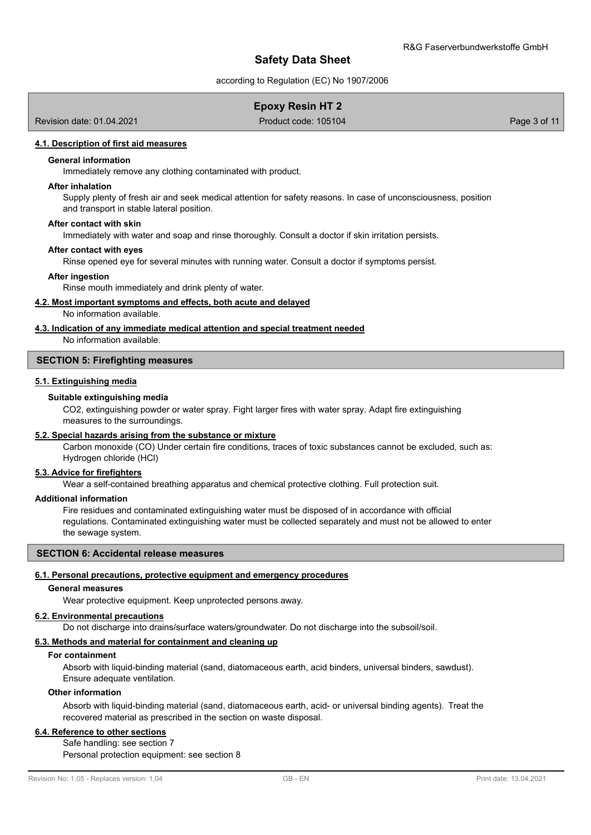according to Regulation (EC) No 1907/2006

# **Epoxy Resin HT 2**

Revision date: 01.04.2021 **Product code: 105104** Page 3 of 11

# **4.1. Description of first aid measures**

#### **General information**

Immediately remove any clothing contaminated with product.

#### **After inhalation**

Supply plenty of fresh air and seek medical attention for safety reasons. In case of unconsciousness, position and transport in stable lateral position.

#### **After contact with skin**

Immediately with water and soap and rinse thoroughly. Consult a doctor if skin irritation persists.

#### **After contact with eyes**

Rinse opened eye for several minutes with running water. Consult a doctor if symptoms persist.

#### **After ingestion**

Rinse mouth immediately and drink plenty of water.

#### **4.2. Most important symptoms and effects, both acute and delayed**

No information available.

#### **4.3. Indication of any immediate medical attention and special treatment needed**

No information available.

### **SECTION 5: Firefighting measures**

# **5.1. Extinguishing media**

# **Suitable extinguishing media**

CO2, extinguishing powder or water spray. Fight larger fires with water spray. Adapt fire extinguishing measures to the surroundings.

#### **5.2. Special hazards arising from the substance or mixture**

Carbon monoxide (CO) Under certain fire conditions, traces of toxic substances cannot be excluded, such as: Hydrogen chloride (HCl)

#### **5.3. Advice for firefighters**

Wear a self-contained breathing apparatus and chemical protective clothing. Full protection suit.

#### **Additional information**

Fire residues and contaminated extinguishing water must be disposed of in accordance with official regulations. Contaminated extinguishing water must be collected separately and must not be allowed to enter the sewage system.

# **SECTION 6: Accidental release measures**

#### **6.1. Personal precautions, protective equipment and emergency procedures**

#### **General measures**

Wear protective equipment. Keep unprotected persons away.

#### **6.2. Environmental precautions**

Do not discharge into drains/surface waters/groundwater. Do not discharge into the subsoil/soil.

# **6.3. Methods and material for containment and cleaning up**

# **For containment**

Absorb with liquid-binding material (sand, diatomaceous earth, acid binders, universal binders, sawdust). Ensure adequate ventilation.

#### **Other information**

Absorb with liquid-binding material (sand, diatomaceous earth, acid- or universal binding agents). Treat the recovered material as prescribed in the section on waste disposal.

# **6.4. Reference to other sections**

Safe handling: see section 7 Personal protection equipment: see section 8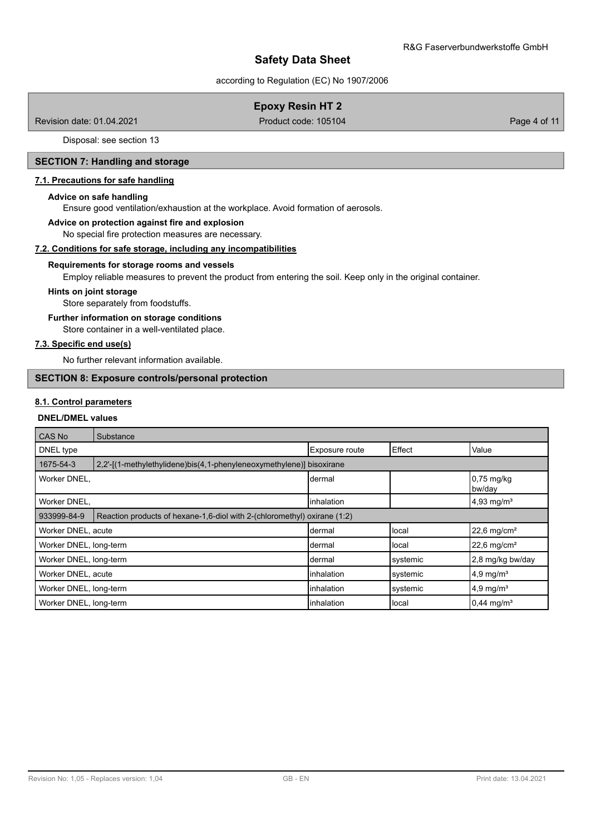according to Regulation (EC) No 1907/2006

# **Epoxy Resin HT 2**

Revision date: 01.04.2021 **Product code: 105104** Page 4 of 11

Disposal: see section 13

# **SECTION 7: Handling and storage**

#### **7.1. Precautions for safe handling**

#### **Advice on safe handling**

Ensure good ventilation/exhaustion at the workplace. Avoid formation of aerosols.

#### **Advice on protection against fire and explosion**

No special fire protection measures are necessary.

# **7.2. Conditions for safe storage, including any incompatibilities**

#### **Requirements for storage rooms and vessels**

Employ reliable measures to prevent the product from entering the soil. Keep only in the original container.

#### **Hints on joint storage**

Store separately from foodstuffs.

# **Further information on storage conditions**

Store container in a well-ventilated place.

# **7.3. Specific end use(s)**

No further relevant information available.

# **SECTION 8: Exposure controls/personal protection**

# **8.1. Control parameters**

#### **DNEL/DMEL values**

| <b>CAS No</b>          | Substance                                                                |                |                |                           |
|------------------------|--------------------------------------------------------------------------|----------------|----------------|---------------------------|
| DNEL type              |                                                                          | Exposure route | Effect         | Value                     |
| 1675-54-3              | 2,2'-[(1-methylethylidene)bis(4,1-phenyleneoxymethylene)] bisoxirane     |                |                |                           |
| Worker DNEL,           |                                                                          | dermal         |                | $0,75$ mg/kg<br>bw/day    |
| Worker DNEL,           |                                                                          | linhalation    |                | $4,93 \text{ mg/m}^3$     |
| 933999-84-9            | Reaction products of hexane-1,6-diol with 2-(chloromethyl) oxirane (1:2) |                |                |                           |
| Worker DNEL, acute     |                                                                          | dermal         | <b>I</b> local | $22,6$ mg/cm <sup>2</sup> |
| Worker DNEL, long-term |                                                                          | Idermal        | Hocal          | $22,6$ mg/cm <sup>2</sup> |
| Worker DNEL, long-term |                                                                          | Idermal        | systemic       | 2.8 mg/kg bw/day          |
| Worker DNEL, acute     |                                                                          | linhalation    | systemic       | $4.9$ mg/m <sup>3</sup>   |
| Worker DNEL, long-term |                                                                          | linhalation    | systemic       | $4.9 \text{ mg/m}^3$      |
| Worker DNEL, long-term |                                                                          | linhalation    | Ilocal         | $0,44 \text{ mg/m}^3$     |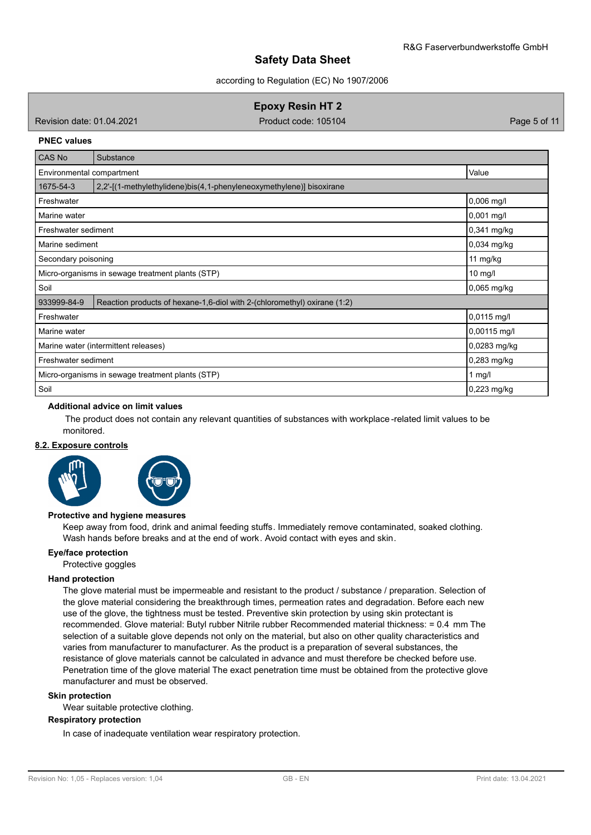according to Regulation (EC) No 1907/2006

**Epoxy Resin HT 2**

Revision date: 01.04.2021 **Product code: 105104** Page 5 of 11

#### **PNEC values**

| CAS No                                                        | Substance                                                                |              |  |  |  |
|---------------------------------------------------------------|--------------------------------------------------------------------------|--------------|--|--|--|
| Value<br>Environmental compartment                            |                                                                          |              |  |  |  |
| 1675-54-3                                                     | 2,2'-[(1-methylethylidene)bis(4,1-phenyleneoxymethylene)] bisoxirane     |              |  |  |  |
| Freshwater                                                    |                                                                          | $0,006$ mg/l |  |  |  |
| Marine water                                                  |                                                                          | 0,001 mg/l   |  |  |  |
| Freshwater sediment                                           |                                                                          | 0,341 mg/kg  |  |  |  |
| Marine sediment                                               |                                                                          | 0,034 mg/kg  |  |  |  |
| Secondary poisoning                                           | 11 mg/kg                                                                 |              |  |  |  |
| Micro-organisms in sewage treatment plants (STP)<br>$10$ mg/l |                                                                          |              |  |  |  |
| Soil                                                          |                                                                          | 0,065 mg/kg  |  |  |  |
| 933999-84-9                                                   | Reaction products of hexane-1,6-diol with 2-(chloromethyl) oxirane (1:2) |              |  |  |  |
| Freshwater                                                    |                                                                          | 0,0115 mg/l  |  |  |  |
| Marine water                                                  |                                                                          | 0,00115 mg/l |  |  |  |
| Marine water (intermittent releases)                          | 0,0283 mg/kg                                                             |              |  |  |  |
| Freshwater sediment                                           | 0,283 mg/kg                                                              |              |  |  |  |
| Micro-organisms in sewage treatment plants (STP)              | 1 mg/l                                                                   |              |  |  |  |
| Soil                                                          |                                                                          | 0,223 mg/kg  |  |  |  |

#### **Additional advice on limit values**

 The product does not contain any relevant quantities of substances with workplace -related limit values to be monitored.

#### **8.2. Exposure controls**



#### **Protective and hygiene measures**

Keep away from food, drink and animal feeding stuffs. Immediately remove contaminated, soaked clothing. Wash hands before breaks and at the end of work. Avoid contact with eyes and skin.

#### **Eye/face protection**

Protective goggles

#### **Hand protection**

The glove material must be impermeable and resistant to the product / substance / preparation. Selection of the glove material considering the breakthrough times, permeation rates and degradation. Before each new use of the glove, the tightness must be tested. Preventive skin protection by using skin protectant is recommended. Glove material: Butyl rubber Nitrile rubber Recommended material thickness: = 0.4 mm The selection of a suitable glove depends not only on the material, but also on other quality characteristics and varies from manufacturer to manufacturer. As the product is a preparation of several substances, the resistance of glove materials cannot be calculated in advance and must therefore be checked before use. Penetration time of the glove material The exact penetration time must be obtained from the protective glove manufacturer and must be observed.

### **Skin protection**

Wear suitable protective clothing.

#### **Respiratory protection**

In case of inadequate ventilation wear respiratory protection.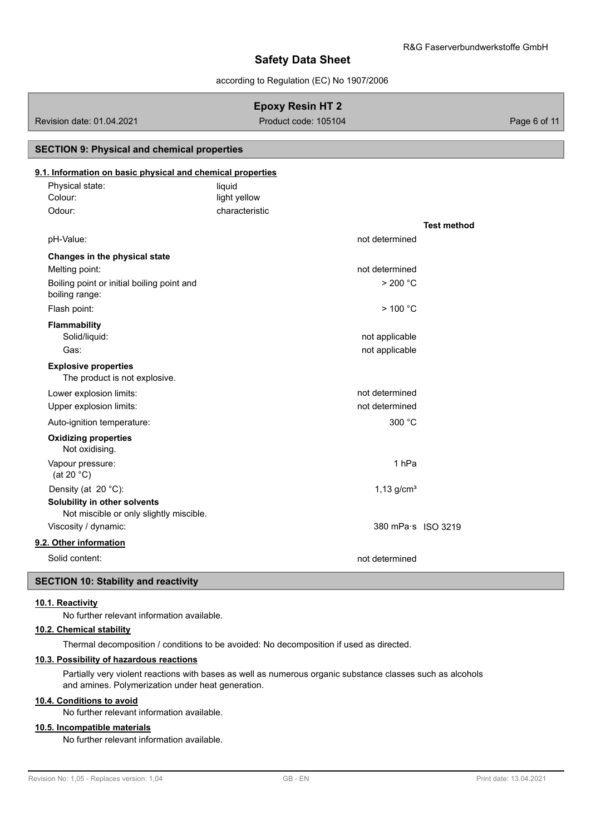according to Regulation (EC) No 1907/2006

# **Epoxy Resin HT 2**

Revision date: 01.04.2021 **Product code: 105104** Page 6 of 11

# **SECTION 9: Physical and chemical properties**

# **9.1. Information on basic physical and chemical properties**

| Physical state: | liauid         |
|-----------------|----------------|
| Colour:         | light yellow   |
| Odour:          | characteristic |

|                                                                         |                                  | <b>Test method</b> |
|-------------------------------------------------------------------------|----------------------------------|--------------------|
| pH-Value:                                                               | not determined                   |                    |
| Changes in the physical state                                           |                                  |                    |
| Melting point:                                                          | not determined                   |                    |
| Boiling point or initial boiling point and<br>boiling range:            | $>$ 200 °C                       |                    |
| Flash point:                                                            | $>$ 100 °C                       |                    |
| <b>Flammability</b><br>Solid/liquid:<br>Gas:                            | not applicable<br>not applicable |                    |
| <b>Explosive properties</b><br>The product is not explosive.            |                                  |                    |
| Lower explosion limits:                                                 | not determined                   |                    |
| Upper explosion limits:                                                 | not determined                   |                    |
| Auto-ignition temperature:                                              | 300 °C                           |                    |
| <b>Oxidizing properties</b><br>Not oxidising.                           |                                  |                    |
| Vapour pressure:<br>(at 20 $°C$ )                                       | 1 <sub>hPa</sub>                 |                    |
| Density (at 20 °C):                                                     | $1,13$ g/cm <sup>3</sup>         |                    |
| Solubility in other solvents<br>Not miscible or only slightly miscible. |                                  |                    |
| Viscosity / dynamic:                                                    | 380 mPa·s ISO 3219               |                    |
| 9.2. Other information                                                  |                                  |                    |
| Solid content:                                                          | not determined                   |                    |

# **SECTION 10: Stability and reactivity**

#### **10.1. Reactivity**

No further relevant information available.

# **10.2. Chemical stability**

Thermal decomposition / conditions to be avoided: No decomposition if used as directed.

# **10.3. Possibility of hazardous reactions**

Partially very violent reactions with bases as well as numerous organic substance classes such as alcohols and amines. Polymerization under heat generation.

### **10.4. Conditions to avoid**

No further relevant information available.

# **10.5. Incompatible materials**

No further relevant information available.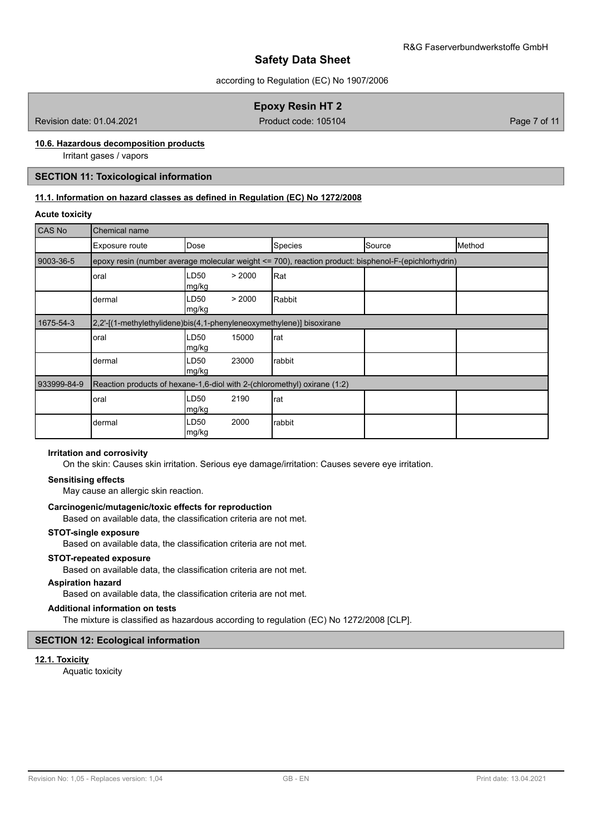according to Regulation (EC) No 1907/2006

# **Epoxy Resin HT 2**

Revision date: 01.04.2021 **Product code: 105104** Page 7 of 11

# **10.6. Hazardous decomposition products**

Irritant gases / vapors

# **SECTION 11: Toxicological information**

# **11.1. Information on hazard classes as defined in Regulation (EC) No 1272/2008**

#### **Acute toxicity**

| CAS No      | Chemical name                                                            |                                    |                                                                                                      |        |        |  |  |
|-------------|--------------------------------------------------------------------------|------------------------------------|------------------------------------------------------------------------------------------------------|--------|--------|--|--|
|             | Exposure route                                                           | Dose                               | <b>Species</b>                                                                                       | Source | Method |  |  |
| 9003-36-5   |                                                                          |                                    | epoxy resin (number average molecular weight <= 700), reaction product: bisphenol-F-(epichlorhydrin) |        |        |  |  |
|             | oral                                                                     | LD50<br>> 2000<br>mg/kg            | Rat                                                                                                  |        |        |  |  |
|             | dermal                                                                   | LD50<br>> 2000<br>mg/kg            | Rabbit                                                                                               |        |        |  |  |
| 1675-54-3   | 2,2'-[(1-methylethylidene)bis(4,1-phenyleneoxymethylene)] bisoxirane     |                                    |                                                                                                      |        |        |  |  |
|             | oral                                                                     | LD50<br>15000<br>mg/kg             | rat                                                                                                  |        |        |  |  |
|             | dermal                                                                   | LD <sub>50</sub><br>23000<br>mg/kg | rabbit                                                                                               |        |        |  |  |
| 933999-84-9 | Reaction products of hexane-1,6-diol with 2-(chloromethyl) oxirane (1:2) |                                    |                                                                                                      |        |        |  |  |
|             | oral                                                                     | LD50<br>2190<br>mg/kg              | rat                                                                                                  |        |        |  |  |
|             | dermal                                                                   | 2000<br>LD50<br>mg/kg              | rabbit                                                                                               |        |        |  |  |

# **Irritation and corrosivity**

On the skin: Causes skin irritation. Serious eye damage/irritation: Causes severe eye irritation.

#### **Sensitising effects**

May cause an allergic skin reaction.

#### **Carcinogenic/mutagenic/toxic effects for reproduction**

Based on available data, the classification criteria are not met.

# **STOT-single exposure**

Based on available data, the classification criteria are not met.

#### **STOT-repeated exposure**

Based on available data, the classification criteria are not met.

#### **Aspiration hazard**

Based on available data, the classification criteria are not met.

#### **Additional information on tests**

The mixture is classified as hazardous according to regulation (EC) No 1272/2008 [CLP].

# **SECTION 12: Ecological information**

#### **12.1. Toxicity**

Aquatic toxicity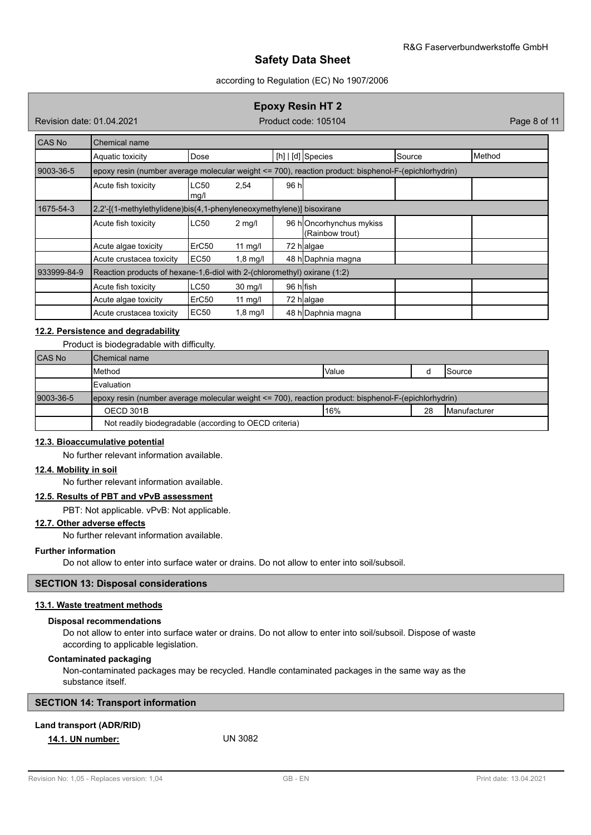# according to Regulation (EC) No 1907/2006

# **Epoxy Resin HT 2**

Revision date: 01.04.2021 **Product code: 105104** Page 8 of 11

| CAS No      | Chemical name                                                                                        |                     |            |           |                                            |        |        |
|-------------|------------------------------------------------------------------------------------------------------|---------------------|------------|-----------|--------------------------------------------|--------|--------|
|             | Aquatic toxicity                                                                                     | Dose                |            |           | [h] $\vert$ [d] Species                    | Source | Method |
| 9003-36-5   | epoxy resin (number average molecular weight <= 700), reaction product: bisphenol-F-(epichlorhydrin) |                     |            |           |                                            |        |        |
|             | Acute fish toxicity                                                                                  | <b>LC50</b><br>mg/l | 2,54       | 96 hl     |                                            |        |        |
| 1675-54-3   | 2,2'-[(1-methylethylidene)bis(4,1-phenyleneoxymethylene)] bisoxirane                                 |                     |            |           |                                            |        |        |
|             | Acute fish toxicity                                                                                  | <b>LC50</b>         | $2$ mg/l   |           | 96 hOncorhynchus mykiss<br>(Rainbow trout) |        |        |
|             | Acute algae toxicity                                                                                 | ErC50               | 11 mg/l    |           | 72 halgae                                  |        |        |
|             | Acute crustacea toxicity                                                                             | EC50                | $1,8$ mg/l |           | 48 h Daphnia magna                         |        |        |
| 933999-84-9 | Reaction products of hexane-1,6-diol with 2-(chloromethyl) oxirane (1:2)                             |                     |            |           |                                            |        |        |
|             | Acute fish toxicity                                                                                  | <b>LC50</b>         | $30$ mg/l  | 96 hlfish |                                            |        |        |
|             | Acute algae toxicity                                                                                 | ErC50               | 11 $mg/l$  |           | 72 halgae                                  |        |        |
|             | Acute crustacea toxicity                                                                             | <b>EC50</b>         | $1,8$ mg/l |           | 48 h Daphnia magna                         |        |        |

# **12.2. Persistence and degradability**

Product is biodegradable with difficulty.

| <b>CAS No</b> | <b>I</b> Chemical name                                                                               |       |  |                 |  |  |  |
|---------------|------------------------------------------------------------------------------------------------------|-------|--|-----------------|--|--|--|
|               | <b>I</b> Method                                                                                      | Value |  | <b>I</b> Source |  |  |  |
|               | <b>IEvaluation</b>                                                                                   |       |  |                 |  |  |  |
| 9003-36-5     | epoxy resin (number average molecular weight <= 700), reaction product: bisphenol-F-(epichlorhydrin) |       |  |                 |  |  |  |
|               | 16%<br>28<br>OECD 301B<br><b>IManufacturer</b>                                                       |       |  |                 |  |  |  |
|               | Not readily biodegradable (according to OECD criteria)                                               |       |  |                 |  |  |  |

#### **12.3. Bioaccumulative potential**

No further relevant information available.

# **12.4. Mobility in soil**

No further relevant information available.

# **12.5. Results of PBT and vPvB assessment**

PBT: Not applicable. vPvB: Not applicable.

# **12.7. Other adverse effects**

No further relevant information available.

# **Further information**

Do not allow to enter into surface water or drains. Do not allow to enter into soil/subsoil.

# **SECTION 13: Disposal considerations**

#### **13.1. Waste treatment methods**

#### **Disposal recommendations**

Do not allow to enter into surface water or drains. Do not allow to enter into soil/subsoil. Dispose of waste according to applicable legislation.

# **Contaminated packaging**

Non-contaminated packages may be recycled. Handle contaminated packages in the same way as the substance itself.

| <b>SECTION 14: Transport information</b> |
|------------------------------------------|
|------------------------------------------|

# **Land transport (ADR/RID)**

**14.1. UN number:** UN 3082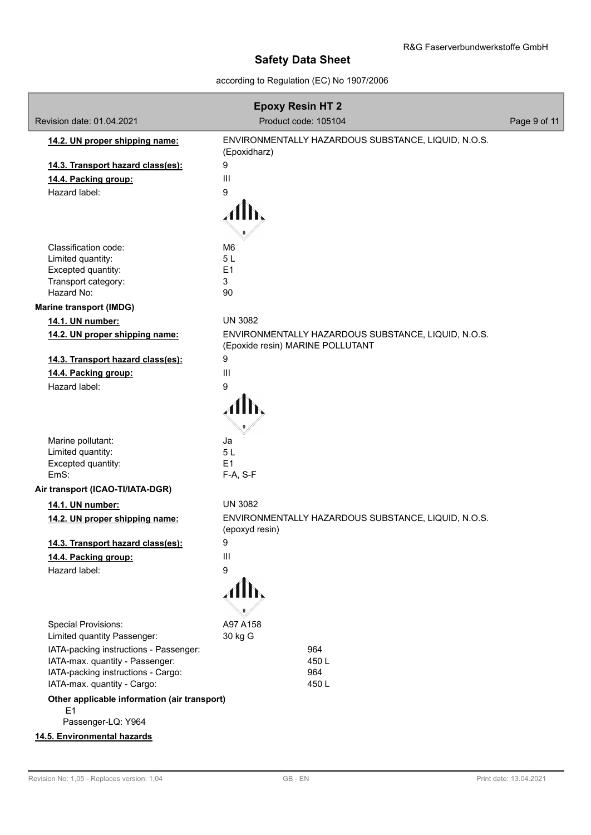according to Regulation (EC) No 1907/2006

| <b>Epoxy Resin HT 2</b>                                                              |                                                                                         |              |  |  |
|--------------------------------------------------------------------------------------|-----------------------------------------------------------------------------------------|--------------|--|--|
| Revision date: 01.04.2021                                                            | Product code: 105104                                                                    | Page 9 of 11 |  |  |
| 14.2. UN proper shipping name:                                                       | ENVIRONMENTALLY HAZARDOUS SUBSTANCE, LIQUID, N.O.S.<br>(Epoxidharz)                     |              |  |  |
| 14.3. Transport hazard class(es):                                                    | 9                                                                                       |              |  |  |
| 14.4. Packing group:                                                                 | $\mathbf{III}$                                                                          |              |  |  |
| Hazard label:                                                                        | 9                                                                                       |              |  |  |
|                                                                                      |                                                                                         |              |  |  |
| Classification code:                                                                 | M6                                                                                      |              |  |  |
| Limited quantity:                                                                    | 5L                                                                                      |              |  |  |
| Excepted quantity:                                                                   | E1                                                                                      |              |  |  |
| Transport category:                                                                  | 3                                                                                       |              |  |  |
| Hazard No:                                                                           | 90                                                                                      |              |  |  |
| <b>Marine transport (IMDG)</b>                                                       |                                                                                         |              |  |  |
| 14.1. UN number:                                                                     | <b>UN 3082</b>                                                                          |              |  |  |
| 14.2. UN proper shipping name:                                                       | ENVIRONMENTALLY HAZARDOUS SUBSTANCE, LIQUID, N.O.S.<br>(Epoxide resin) MARINE POLLUTANT |              |  |  |
| 14.3. Transport hazard class(es):                                                    | 9                                                                                       |              |  |  |
| 14.4. Packing group:                                                                 | $\mathbf{III}$                                                                          |              |  |  |
| Hazard label:                                                                        | 9                                                                                       |              |  |  |
|                                                                                      |                                                                                         |              |  |  |
| Marine pollutant:                                                                    | Ja                                                                                      |              |  |  |
| Limited quantity:<br>Excepted quantity:                                              | 5L<br>E1                                                                                |              |  |  |
| EmS:                                                                                 | F-A, S-F                                                                                |              |  |  |
| Air transport (ICAO-TI/IATA-DGR)                                                     |                                                                                         |              |  |  |
| 14.1. UN number:                                                                     | <b>UN 3082</b>                                                                          |              |  |  |
| 14.2. UN proper shipping name:                                                       | ENVIRONMENTALLY HAZARDOUS SUBSTANCE, LIQUID, N.O.S.<br>(epoxyd resin)                   |              |  |  |
| 14.3. Transport hazard class(es):                                                    | 9                                                                                       |              |  |  |
| 14.4. Packing group:                                                                 | Ш                                                                                       |              |  |  |
| Hazard label:                                                                        | 9                                                                                       |              |  |  |
|                                                                                      |                                                                                         |              |  |  |
| <b>Special Provisions:</b>                                                           | A97 A158                                                                                |              |  |  |
| Limited quantity Passenger:                                                          | 30 kg G                                                                                 |              |  |  |
| IATA-packing instructions - Passenger:<br>IATA-max. quantity - Passenger:            | 964<br>450L                                                                             |              |  |  |
| IATA-packing instructions - Cargo:                                                   | 964                                                                                     |              |  |  |
| IATA-max. quantity - Cargo:                                                          | 450L                                                                                    |              |  |  |
| Other applicable information (air transport)<br>E <sub>1</sub><br>Passenger-LQ: Y964 |                                                                                         |              |  |  |
| 14.5. Environmental hazards                                                          |                                                                                         |              |  |  |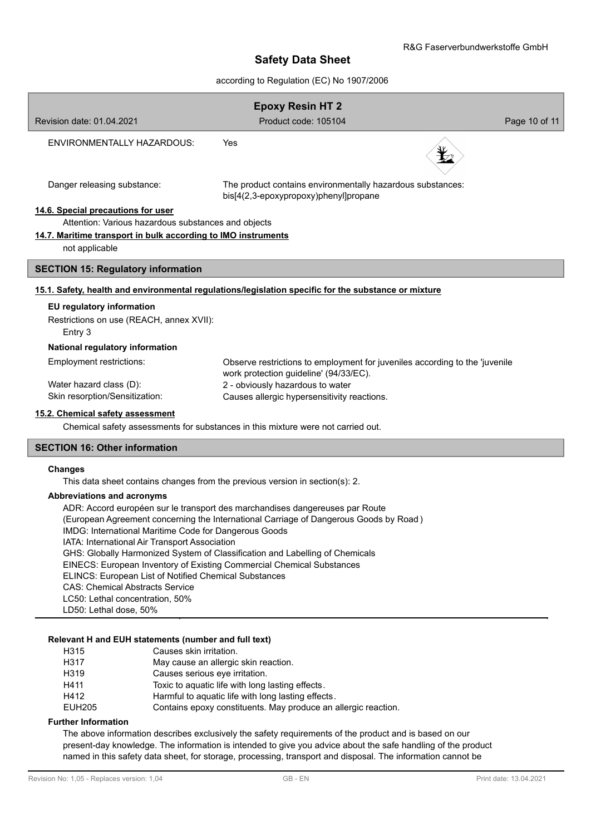# according to Regulation (EC) No 1907/2006

| <b>Epoxy Resin HT 2</b>                                                                              |                                                                                                                       |               |  |  |
|------------------------------------------------------------------------------------------------------|-----------------------------------------------------------------------------------------------------------------------|---------------|--|--|
| Revision date: 01.04.2021                                                                            | Product code: 105104                                                                                                  | Page 10 of 11 |  |  |
| ENVIRONMENTALLY HAZARDOUS:                                                                           | Yes                                                                                                                   |               |  |  |
| Danger releasing substance:                                                                          | The product contains environmentally hazardous substances:<br>bis[4(2,3-epoxypropoxy)phenyl]propane                   |               |  |  |
| 14.6. Special precautions for user                                                                   |                                                                                                                       |               |  |  |
| Attention: Various hazardous substances and objects                                                  |                                                                                                                       |               |  |  |
| 14.7. Maritime transport in bulk according to IMO instruments                                        |                                                                                                                       |               |  |  |
| not applicable                                                                                       |                                                                                                                       |               |  |  |
| <b>SECTION 15: Regulatory information</b>                                                            |                                                                                                                       |               |  |  |
| 15.1. Safety, health and environmental regulations/legislation specific for the substance or mixture |                                                                                                                       |               |  |  |
| EU regulatory information                                                                            |                                                                                                                       |               |  |  |
| Restrictions on use (REACH, annex XVII):<br>Entry 3                                                  |                                                                                                                       |               |  |  |
| National regulatory information                                                                      |                                                                                                                       |               |  |  |
| Employment restrictions:                                                                             | Observe restrictions to employment for juveniles according to the 'juvenile<br>work protection guideline' (94/33/EC). |               |  |  |
| Water hazard class (D):                                                                              | 2 - obviously hazardous to water                                                                                      |               |  |  |
| Skin resorption/Sensitization:                                                                       | Causes allergic hypersensitivity reactions.                                                                           |               |  |  |
| 15.2. Chemical safety assessment                                                                     |                                                                                                                       |               |  |  |
|                                                                                                      | Chemical safety assessments for substances in this mixture were not carried out.                                      |               |  |  |
| <b>SECTION 16: Other information</b>                                                                 |                                                                                                                       |               |  |  |
|                                                                                                      |                                                                                                                       |               |  |  |

#### **Changes**

This data sheet contains changes from the previous version in section(s): 2.

#### **Abbreviations and acronyms**

ADR: Accord européen sur le transport des marchandises dangereuses par Route

(European Agreement concerning the International Carriage of Dangerous Goods by Road )

IMDG: International Maritime Code for Dangerous Goods

IATA: International Air Transport Association

GHS: Globally Harmonized System of Classification and Labelling of Chemicals

EINECS: European Inventory of Existing Commercial Chemical Substances

ELINCS: European List of Notified Chemical Substances

CAS: Chemical Abstracts Service

LC50: Lethal concentration, 50%

LD50: Lethal dose, 50%

#### **Relevant H and EUH statements (number and full text)**

- H315 Causes skin irritation.
- H317 May cause an allergic skin reaction.
- H319 Causes serious eye irritation.
- H411 Toxic to aquatic life with long lasting effects.
- H412 Harmful to aquatic life with long lasting effects.
- EUH205 Contains epoxy constituents. May produce an allergic reaction.

# **Further Information**

The above information describes exclusively the safety requirements of the product and is based on our present-day knowledge. The information is intended to give you advice about the safe handling of the product named in this safety data sheet, for storage, processing, transport and disposal. The information cannot be